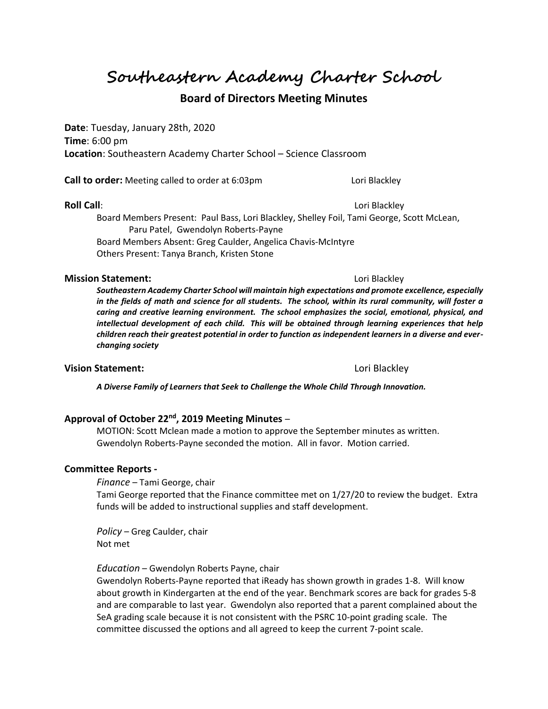**Southeastern Academy Charter School**

# **Board of Directors Meeting Minutes**

**Date**: Tuesday, January 28th, 2020 **Time**: 6:00 pm **Location**: Southeastern Academy Charter School – Science Classroom

**Call to order:** Meeting called to order at 6:03pm Lori Blackley

**Roll Call**: **Lori Blackley** 

Board Members Present: Paul Bass, Lori Blackley, Shelley Foil, Tami George, Scott McLean, Paru Patel, Gwendolyn Roberts-Payne Board Members Absent: Greg Caulder, Angelica Chavis-McIntyre Others Present: Tanya Branch, Kristen Stone

#### **Mission Statement:**  $\qquad \qquad$  Lori Blackley

*Southeastern Academy Charter School will maintain high expectations and promote excellence, especially in the fields of math and science for all students. The school, within its rural community, will foster a caring and creative learning environment. The school emphasizes the social, emotional, physical, and intellectual development of each child. This will be obtained through learning experiences that help children reach their greatest potential in order to function as independent learners in a diverse and everchanging society*

## **Vision Statement:**  $\qquad \qquad$  Lori Blackley

*A Diverse Family of Learners that Seek to Challenge the Whole Child Through Innovation.*

### **Approval of October 22nd, 2019 Meeting Minutes** –

MOTION: Scott Mclean made a motion to approve the September minutes as written. Gwendolyn Roberts-Payne seconded the motion. All in favor. Motion carried.

#### **Committee Reports -**

*Finance* – Tami George, chair

Tami George reported that the Finance committee met on 1/27/20 to review the budget. Extra funds will be added to instructional supplies and staff development.

*Policy* – Greg Caulder, chair Not met

*Education* – Gwendolyn Roberts Payne, chair

Gwendolyn Roberts-Payne reported that iReady has shown growth in grades 1-8. Will know about growth in Kindergarten at the end of the year. Benchmark scores are back for grades 5-8 and are comparable to last year. Gwendolyn also reported that a parent complained about the SeA grading scale because it is not consistent with the PSRC 10-point grading scale. The committee discussed the options and all agreed to keep the current 7-point scale.